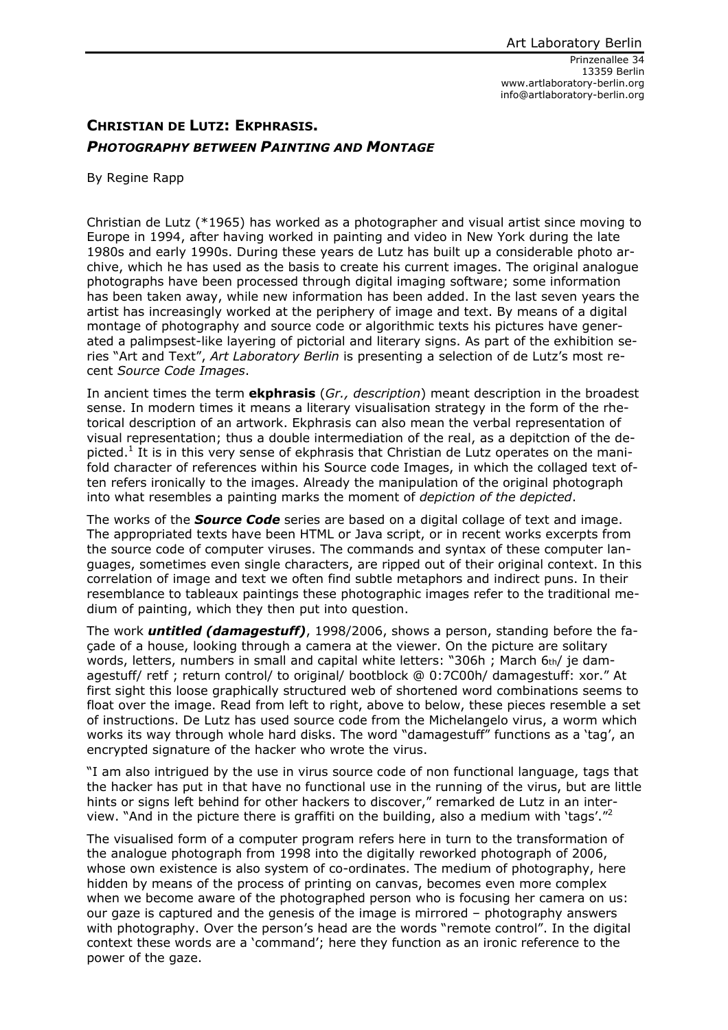## **CHRISTIAN DE LUTZ: EKPHRASIS.**  *PHOTOGRAPHY BETWEEN PAINTING AND MONTAGE*

By Regine Rapp

Christian de Lutz (\*1965) has worked as a photographer and visual artist since moving to Europe in 1994, after having worked in painting and video in New York during the late 1980s and early 1990s. During these years de Lutz has built up a considerable photo archive, which he has used as the basis to create his current images. The original analogue photographs have been processed through digital imaging software; some information has been taken away, while new information has been added. In the last seven years the artist has increasingly worked at the periphery of image and text. By means of a digital montage of photography and source code or algorithmic texts his pictures have generated a palimpsest-like layering of pictorial and literary signs. As part of the exhibition series "Art and Text", *Art Laboratory Berlin* is presenting a selection of de Lutz's most recent *Source Code Images*.

In ancient times the term **ekphrasis** (*Gr., description*) meant description in the broadest sense. In modern times it means a literary visualisation strategy in the form of the rhetorical description of an artwork. Ekphrasis can also mean the verbal representation of visual representation; thus a double intermediation of the real, as a depitction of the depicted.<sup>1</sup> It is in this very sense of ekphrasis that Christian de Lutz operates on the manifold character of references within his Source code Images, in which the collaged text often refers ironically to the images. Already the manipulation of the original photograph into what resembles a painting marks the moment of *depiction of the depicted*.

The works of the *Source Code* series are based on a digital collage of text and image. The appropriated texts have been HTML or Java script, or in recent works excerpts from the source code of computer viruses. The commands and syntax of these computer languages, sometimes even single characters, are ripped out of their original context. In this correlation of image and text we often find subtle metaphors and indirect puns. In their resemblance to tableaux paintings these photographic images refer to the traditional medium of painting, which they then put into question.

The work *untitled (damagestuff)*, 1998/2006, shows a person, standing before the façade of a house, looking through a camera at the viewer. On the picture are solitary words, letters, numbers in small and capital white letters: "306h ; March  $6<sub>th</sub>$  je damagestuff/ retf ; return control/ to original/ bootblock @ 0:7C00h/ damagestuff: xor." At first sight this loose graphically structured web of shortened word combinations seems to float over the image. Read from left to right, above to below, these pieces resemble a set of instructions. De Lutz has used source code from the Michelangelo virus, a worm which works its way through whole hard disks. The word "damagestuff" functions as a 'tag', an encrypted signature of the hacker who wrote the virus.

"I am also intrigued by the use in virus source code of non functional language, tags that the hacker has put in that have no functional use in the running of the virus, but are little hints or signs left behind for other hackers to discover," remarked de Lutz in an interview. "And in the picture there is graffiti on the building, also a medium with 'tags'."<sup>2</sup>

The visualised form of a computer program refers here in turn to the transformation of the analogue photograph from 1998 into the digitally reworked photograph of 2006, whose own existence is also system of co-ordinates. The medium of photography, here hidden by means of the process of printing on canvas, becomes even more complex when we become aware of the photographed person who is focusing her camera on us: our gaze is captured and the genesis of the image is mirrored – photography answers with photography. Over the person's head are the words "remote control". In the digital context these words are a 'command'; here they function as an ironic reference to the power of the gaze.